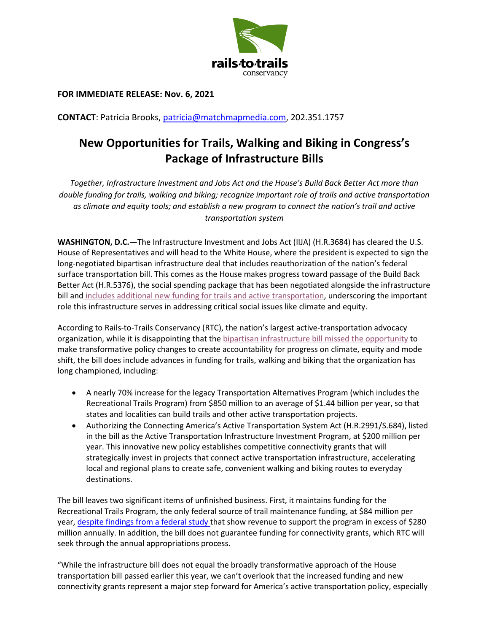

**FOR IMMEDIATE RELEASE: Nov. 6, 2021**

**CONTACT**: Patricia Brooks, [patricia@matchmapmedia.com,](mailto:patricia@matchmapmedia.com) 202.351.1757

## **New Opportunities for Trails, Walking and Biking in Congress's Package of Infrastructure Bills**

*Together, Infrastructure Investment and Jobs Act and the House's Build Back Better Act more than double funding for trails, walking and biking; recognize important role of trails and active transportation as climate and equity tools; and establish a new program to connect the nation's trail and active transportation system*

**WASHINGTON, D.C.—**The Infrastructure Investment and Jobs Act (IIJA) (H.R.3684) has cleared the U.S. House of Representatives and will head to the White House, where the president is expected to sign the long-negotiated bipartisan infrastructure deal that includes reauthorization of the nation's federal surface transportation bill. This comes as the House makes progress toward passage of the Build Back Better Act (H.R.5376), the social spending package that has been negotiated alongside the infrastructure bill and [includes additional new funding for trails and active](https://www.railstotrails.org/trailblog/2021/november/06/the-build-back-better-act-could-create-new-opportunities-for-trail-and-active-transportation-funding/) transportation, underscoring the important role this infrastructure serves in addressing critical social issues like climate and equity.

According to Rails-to-Trails Conservancy (RTC), the nation's largest active-transportation advocacy organization, while it is disappointing that the [bipartisan infrastructure bill missed the opportunity](https://www.railstotrails.org/trailblog/2021/november/06/analysis-bipartisan-infrastructure-bill-passes-with-new-opportunities-for-trails-walking-and-biking/) to make transformative policy changes to create accountability for progress on climate, equity and mode shift, the bill does include advances in funding for trails, walking and biking that the organization has long championed, including:

- A nearly 70% increase for the legacy Transportation Alternatives Program (which includes the Recreational Trails Program) from \$850 million to an average of \$1.44 billion per year, so that states and localities can build trails and other active transportation projects.
- Authorizing the Connecting America's Active Transportation System Act (H.R.2991/S.684), listed in the bill as the Active Transportation Infrastructure Investment Program, at \$200 million per year. This innovative new policy establishes competitive connectivity grants that will strategically invest in projects that connect active transportation infrastructure, accelerating local and regional plans to create safe, convenient walking and biking routes to everyday destinations.

The bill leaves two significant items of unfinished business. First, it maintains funding for the Recreational Trails Program, the only federal source of trail maintenance funding, at \$84 million per year, [despite findings from](https://usa.streetsblog.org/2021/08/03/report-fed-recreational-trails-program-underfunded-by-200m-year/) a federal study that show revenue to support the program in excess of \$280 million annually. In addition, the bill does not guarantee funding for connectivity grants, which RTC will seek through the annual appropriations process.

"While the infrastructure bill does not equal the broadly transformative approach of the House transportation bill passed earlier this year, we can't overlook that the increased funding and new connectivity grants represent a major step forward for America's active transportation policy, especially